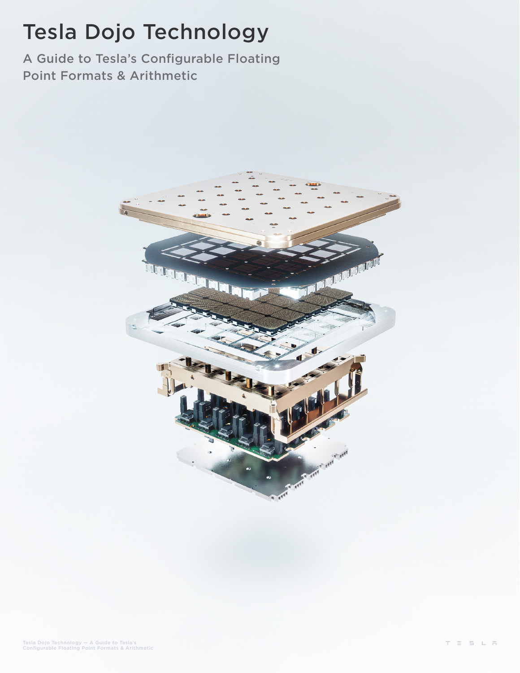# Tesla Dojo Technology

A Guide to Tesla's Configurable Floating Point Formats & Arithmetic

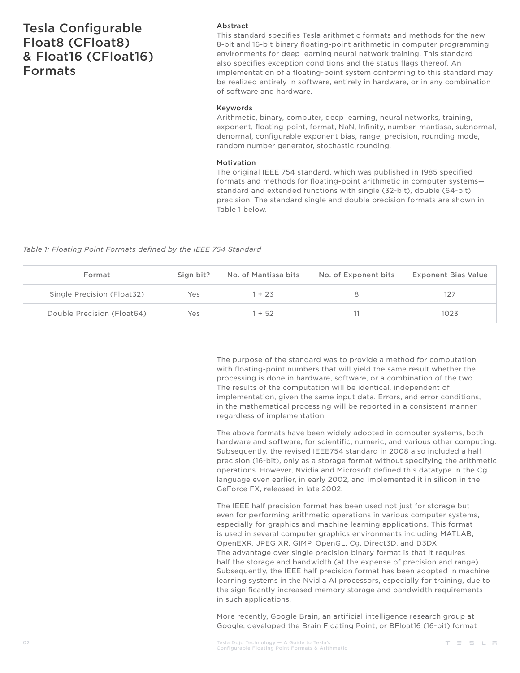## Tesla Configurable Float8 (CFloat8) & Float16 (CFloat16) Formats

### Abstract

This standard specifies Tesla arithmetic formats and methods for the new 8-bit and 16-bit binary floating-point arithmetic in computer programming environments for deep learning neural network training. This standard also specifies exception conditions and the status flags thereof. An implementation of a floating-point system conforming to this standard may be realized entirely in software, entirely in hardware, or in any combination of software and hardware.

### Keywords

Arithmetic, binary, computer, deep learning, neural networks, training, exponent, floating-point, format, NaN, Infinity, number, mantissa, subnormal, denormal, configurable exponent bias, range, precision, rounding mode, random number generator, stochastic rounding.

### Motivation

The original IEEE 754 standard, which was published in 1985 specified formats and methods for floating-point arithmetic in computer systems standard and extended functions with single (32-bit), double (64-bit) precision. The standard single and double precision formats are shown in Table 1 below.

*Table 1: Floating Point Formats defined by the IEEE 754 Standard*

| Format                     | Sign bit? | No. of Mantissa bits | No. of Exponent bits | <b>Exponent Bias Value</b> |
|----------------------------|-----------|----------------------|----------------------|----------------------------|
| Single Precision (Float32) | Yes       | $+23$                |                      |                            |
| Double Precision (Float64) | Yes       | $+52$                |                      | 1023                       |

The purpose of the standard was to provide a method for computation with floating-point numbers that will yield the same result whether the processing is done in hardware, software, or a combination of the two. The results of the computation will be identical, independent of implementation, given the same input data. Errors, and error conditions, in the mathematical processing will be reported in a consistent manner regardless of implementation.

The above formats have been widely adopted in computer systems, both hardware and software, for scientific, numeric, and various other computing. Subsequently, the revised IEEE754 standard in 2008 also included a half precision (16-bit), only as a storage format without specifying the arithmetic operations. However, Nvidia and Microsoft defined this datatype in the Cg language even earlier, in early 2002, and implemented it in silicon in the GeForce FX, released in late 2002.

The IEEE half precision format has been used not just for storage but even for performing arithmetic operations in various computer systems, especially for graphics and machine learning applications. This format is used in several computer graphics environments including MATLAB, OpenEXR, JPEG XR, GIMP, OpenGL, Cg, Direct3D, and D3DX. The advantage over single precision binary format is that it requires half the storage and bandwidth (at the expense of precision and range). Subsequently, the IEEE half precision format has been adopted in machine learning systems in the Nvidia AI processors, especially for training, due to the significantly increased memory storage and bandwidth requirements in such applications.

More recently, Google Brain, an artificial intelligence research group at Google, developed the Brain Floating Point, or BFloat16 (16-bit) format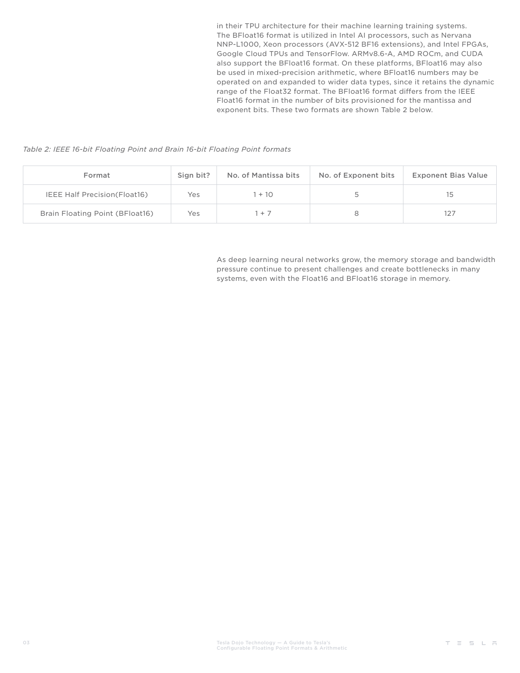in their TPU architecture for their machine learning training systems. The BFloat16 format is utilized in Intel AI processors, such as Nervana NNP-L1000, Xeon processors (AVX-512 BF16 extensions), and Intel FPGAs, Google Cloud TPUs and TensorFlow. ARMv8.6-A, AMD ROCm, and CUDA also support the BFloat16 format. On these platforms, BFloat16 may also be used in mixed-precision arithmetic, where BFloat16 numbers may be operated on and expanded to wider data types, since it retains the dynamic range of the Float32 format. The BFloat16 format differs from the IEEE Float16 format in the number of bits provisioned for the mantissa and exponent bits. These two formats are shown Table 2 below.

*Table 2: IEEE 16-bit Floating Point and Brain 16-bit Floating Point formats*

| Format                               | Sign bit? | No. of Mantissa bits | No. of Exponent bits | <b>Exponent Bias Value</b> |
|--------------------------------------|-----------|----------------------|----------------------|----------------------------|
| <b>IEEE Half Precision (Float16)</b> | Yes       | $+10$                |                      |                            |
| Brain Floating Point (BFloat16)      | Yes       | $+7$                 |                      | 127                        |

As deep learning neural networks grow, the memory storage and bandwidth pressure continue to present challenges and create bottlenecks in many systems, even with the Float16 and BFloat16 storage in memory.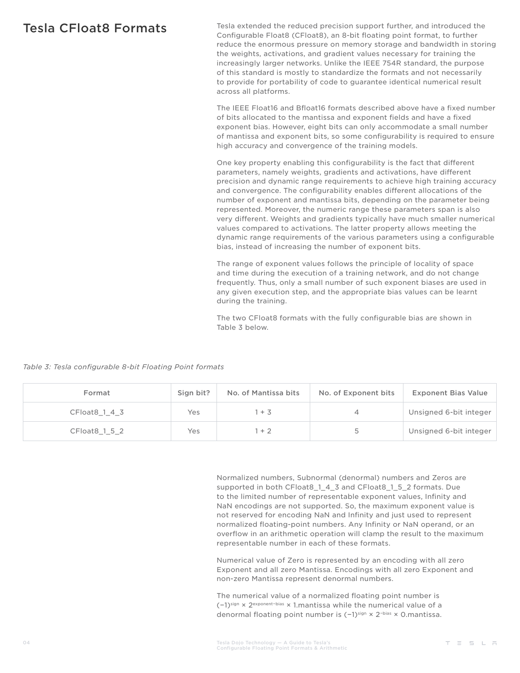Tesla CFloat8 Formats Tesla extended the reduced precision support further, and introduced the Configurable Float8 (CFloat8), an 8-bit floating point format, to further reduce the enormous pressure on memory storage and bandwidth in storing the weights, activations, and gradient values necessary for training the increasingly larger networks. Unlike the IEEE 754R standard, the purpose of this standard is mostly to standardize the formats and not necessarily to provide for portability of code to guarantee identical numerical result across all platforms.

> The IEEE Float16 and Bfloat16 formats described above have a fixed number of bits allocated to the mantissa and exponent fields and have a fixed exponent bias. However, eight bits can only accommodate a small number of mantissa and exponent bits, so some configurability is required to ensure high accuracy and convergence of the training models.

> One key property enabling this configurability is the fact that different parameters, namely weights, gradients and activations, have different precision and dynamic range requirements to achieve high training accuracy and convergence. The configurability enables different allocations of the number of exponent and mantissa bits, depending on the parameter being represented. Moreover, the numeric range these parameters span is also very different. Weights and gradients typically have much smaller numerical values compared to activations. The latter property allows meeting the dynamic range requirements of the various parameters using a configurable bias, instead of increasing the number of exponent bits.

The range of exponent values follows the principle of locality of space and time during the execution of a training network, and do not change frequently. Thus, only a small number of such exponent biases are used in any given execution step, and the appropriate bias values can be learnt during the training.

The two CFloat8 formats with the fully configurable bias are shown in Table 3 below.

| Table 3: Tesla configurable 8-bit Floating Point formats |  |  |  |
|----------------------------------------------------------|--|--|--|
|----------------------------------------------------------|--|--|--|

| Format            | Sign bit? | No. of Mantissa bits | No. of Exponent bits | <b>Exponent Bias Value</b> |
|-------------------|-----------|----------------------|----------------------|----------------------------|
| $CF$ loat 8 1 4 3 | Yes       | $1 + 3$              | $\overline{4}$       | Unsigned 6-bit integer     |
| $CF$ loat 8 1 5 2 | Yes       | $+2$                 | 5                    | Unsigned 6-bit integer     |

Normalized numbers, Subnormal (denormal) numbers and Zeros are supported in both CFloat8\_1\_4\_3 and CFloat8\_1\_5\_2 formats. Due to the limited number of representable exponent values, Infinity and NaN encodings are not supported. So, the maximum exponent value is not reserved for encoding NaN and Infinity and just used to represent normalized floating-point numbers. Any Infinity or NaN operand, or an overflow in an arithmetic operation will clamp the result to the maximum representable number in each of these formats.

Numerical value of Zero is represented by an encoding with all zero Exponent and all zero Mantissa. Encodings with all zero Exponent and non-zero Mantissa represent denormal numbers.

The numerical value of a normalized floating point number is (−1)sign × 2exponent−bias × 1.mantissa while the numerical value of a denormal floating point number is (−1)<sup>sign</sup> × 2<sup>-bias</sup> × 0.mantissa.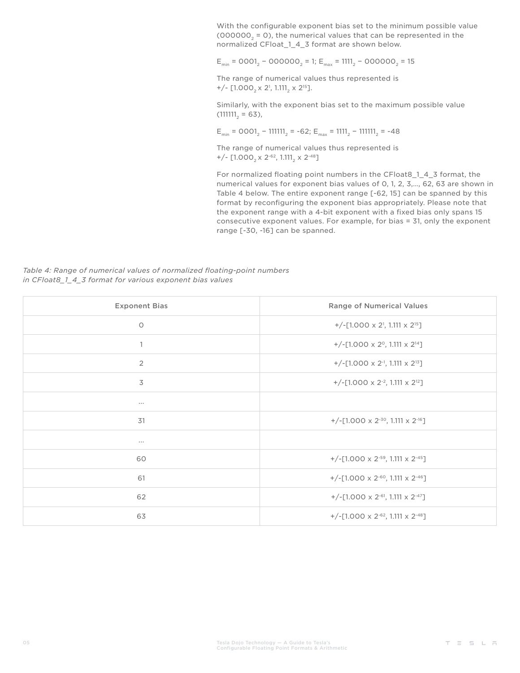With the configurable exponent bias set to the minimum possible value (000000 $<sub>2</sub> = 0$ ), the numerical values that can be represented in the</sub> normalized CFloat 1 4 3 format are shown below.

 $E_{\text{min}}$  = 0001<sub>2</sub> – 000000<sub>2</sub> = 1;  $E_{\text{max}}$  = 1111<sub>2</sub> – 000000<sub>2</sub> = 15

The range of numerical values thus represented is +/-  $[1.000<sub>2</sub> \times 2<sup>1</sup>, 1.111<sub>2</sub> \times 2<sup>15</sup>].$ 

Similarly, with the exponent bias set to the maximum possible value  $(111111, 563)$ ,

 $E_{\text{min}}$  = 0001<sub>2</sub> – 111111<sub>2</sub> = -62;  $E_{\text{max}}$  = 1111<sub>2</sub> – 111111<sub>2</sub> = -48

The range of numerical values thus represented is  $+/-$  [1.000<sub>2</sub> x 2<sup>-62</sup>, 1.111<sub>2</sub> x 2<sup>-48</sup>]

For normalized floating point numbers in the CFloat8\_1\_4\_3 format, the numerical values for exponent bias values of 0, 1, 2, 3,…, 62, 63 are shown in Table 4 below. The entire exponent range [-62, 15] can be spanned by this format by reconfiguring the exponent bias appropriately. Please note that the exponent range with a 4-bit exponent with a fixed bias only spans 15 consecutive exponent values. For example, for bias = 31, only the exponent range [-30, -16] can be spanned.

*Table 4: Range of numerical values of normalized floating-point numbers in CFloat8\_1\_4\_3 format for various exponent bias values*

| <b>Exponent Bias</b> | Range of Numerical Values                                             |  |
|----------------------|-----------------------------------------------------------------------|--|
| $\circ$              | +/-[1.000 $\times$ 2 <sup>1</sup> , 1.111 $\times$ 2 <sup>15</sup> ]  |  |
| $\mathbf{1}$         | +/-[1.000 $\times$ 2 <sup>o</sup> , 1.111 $\times$ 2 <sup>14</sup> ]  |  |
| $\overline{2}$       | +/-[1.000 $\times$ 2 <sup>-1</sup> , 1.111 $\times$ 2 <sup>13</sup> ] |  |
| 3                    | +/-[1.000 x 2 <sup>-2</sup> , 1.111 x 2 <sup>12</sup> ]               |  |
| $\cdots$             |                                                                       |  |
| 31                   | +/-[1.000 x 2 <sup>-30</sup> , 1.111 x 2 <sup>-16</sup> ]             |  |
| $\cdots$             |                                                                       |  |
| 60                   | +/-[1.000 x 2 <sup>-59</sup> , 1.111 x 2 <sup>-45</sup> ]             |  |
| 61                   | +/-[1.000 x 2 <sup>-60</sup> , 1.111 x 2 <sup>-46</sup> ]             |  |
| 62                   | +/-[1.000 x 2 <sup>-61</sup> , 1.111 x 2 <sup>-47</sup> ]             |  |
| 63                   | +/-[1.000 x 2 <sup>-62</sup> , 1.111 x 2 <sup>-48</sup> ]             |  |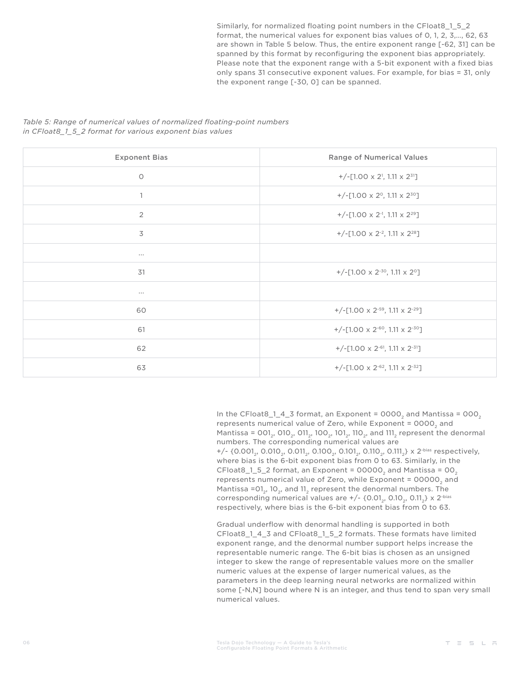Similarly, for normalized floating point numbers in the CFloat8\_1\_5\_2 format, the numerical values for exponent bias values of 0, 1, 2, 3,…, 62, 63 are shown in Table 5 below. Thus, the entire exponent range [-62, 31] can be spanned by this format by reconfiguring the exponent bias appropriately. Please note that the exponent range with a 5-bit exponent with a fixed bias only spans 31 consecutive exponent values. For example, for bias = 31, only the exponent range [-30, 0] can be spanned.

*Table 5: Range of numerical values of normalized floating-point numbers in CFloat8\_1\_5\_2 format for various exponent bias values*

| <b>Exponent Bias</b>     | Range of Numerical Values                                             |  |  |
|--------------------------|-----------------------------------------------------------------------|--|--|
| $\circ$                  | +/-[1.00 $\times$ 2 <sup>1</sup> , 1.11 $\times$ 2 <sup>31</sup> ]    |  |  |
| $\mathbf{1}$             | +/-[1.00 $\times$ 2 <sup>o</sup> , 1.11 $\times$ 2 <sup>3o</sup> ]    |  |  |
| $\overline{2}$           | +/-[1.00 $\times$ 2 <sup>-1</sup> , 1.11 $\times$ 2 <sup>29</sup> ]   |  |  |
| $\overline{\mathcal{S}}$ | +/-[1.00 $\times$ 2 <sup>-2</sup> , 1.11 $\times$ 2 <sup>28</sup> ]   |  |  |
| $\cdots$                 |                                                                       |  |  |
| 31                       | +/-[1.00 $\times$ 2 <sup>-30</sup> , 1.11 $\times$ 2 <sup>0</sup> ]   |  |  |
| $\cdots$                 |                                                                       |  |  |
| 60                       | +/-[1.00 $\times$ 2 <sup>-59</sup> , 1.11 $\times$ 2 <sup>-29</sup> ] |  |  |
| 61                       | +/-[1.00 x 2 <sup>-60</sup> , 1.11 x 2 <sup>-30</sup> ]               |  |  |
| 62                       | +/-[1.00 $\times$ 2 <sup>-61</sup> , 1.11 $\times$ 2 <sup>-31</sup> ] |  |  |
| 63                       | +/-[1.00 $\times$ 2 <sup>-62</sup> , 1.11 $\times$ 2 <sup>-32</sup> ] |  |  |

In the CFloat8\_1\_4\_3 format, an Exponent =  $0000<sub>2</sub>$  and Mantissa =  $000<sub>2</sub>$ represents numerical value of Zero, while Exponent  $= 0000$  and Mantissa = 001<sub>3</sub>, 010<sub>3</sub>, 011<sub>3</sub>, 100<sub>3</sub>, 101<sub>3</sub>, 110<sub>3</sub>, and 111<sub>4</sub> represent the denormal numbers. The corresponding numerical values are  $+/-$  {0.001<sub>2</sub>, 0.010<sub>2</sub>, 0.011<sub>2</sub>, 0.100<sub>2</sub>, 0.101<sub>2</sub>, 0.110<sub>2</sub>, 0.111<sub>2</sub>} x 2<sup>-bias</sup> respectively, where bias is the 6-bit exponent bias from 0 to 63. Similarly, in the CFloat8 $-1$ , 5 $-2$  format, an Exponent = 00000, and Mantissa = 00, represents numerical value of Zero, while Exponent = 00000, and Mantissa =01 $<sub>2</sub>$ , 10 $<sub>2</sub>$ , and 11 $<sub>2</sub>$  represent the denormal numbers. The</sub></sub></sub> corresponding numerical values are  $+/-$  {0.01<sub>2</sub>, 0.10<sub>2</sub>, 0.11<sub>2</sub>} x 2<sup>-bias</sup> respectively, where bias is the 6-bit exponent bias from 0 to 63.

Gradual underflow with denormal handling is supported in both CFloat8\_1\_4\_3 and CFloat8\_1\_5\_2 formats. These formats have limited exponent range, and the denormal number support helps increase the representable numeric range. The 6-bit bias is chosen as an unsigned integer to skew the range of representable values more on the smaller numeric values at the expense of larger numerical values, as the parameters in the deep learning neural networks are normalized within some [-N,N] bound where N is an integer, and thus tend to span very small numerical values.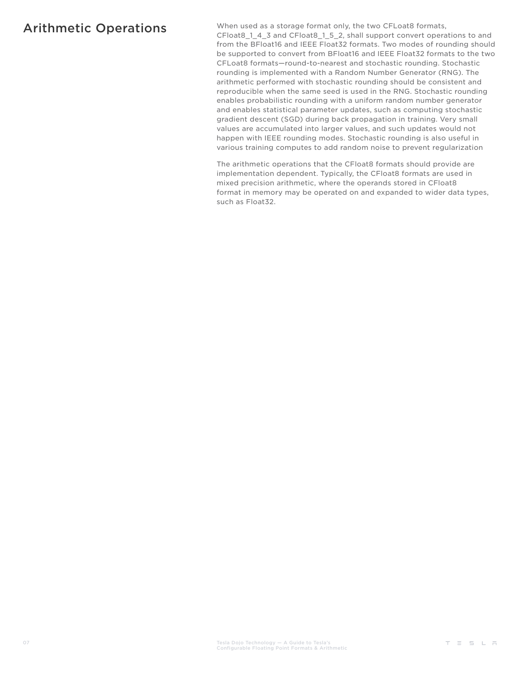Arithmetic Operations When used as a storage format only, the two CFLoat8 formats, CFloat8\_1\_4\_3 and CFloat8\_1\_5\_2, shall support convert operations to and from the BFloat16 and IEEE Float32 formats. Two modes of rounding should be supported to convert from BFloat16 and IEEE Float32 formats to the two CFLoat8 formats—round-to-nearest and stochastic rounding. Stochastic rounding is implemented with a Random Number Generator (RNG). The arithmetic performed with stochastic rounding should be consistent and reproducible when the same seed is used in the RNG. Stochastic rounding enables probabilistic rounding with a uniform random number generator and enables statistical parameter updates, such as computing stochastic gradient descent (SGD) during back propagation in training. Very small values are accumulated into larger values, and such updates would not happen with IEEE rounding modes. Stochastic rounding is also useful in various training computes to add random noise to prevent regularization

> The arithmetic operations that the CFloat8 formats should provide are implementation dependent. Typically, the CFloat8 formats are used in mixed precision arithmetic, where the operands stored in CFloat8 format in memory may be operated on and expanded to wider data types, such as Float32.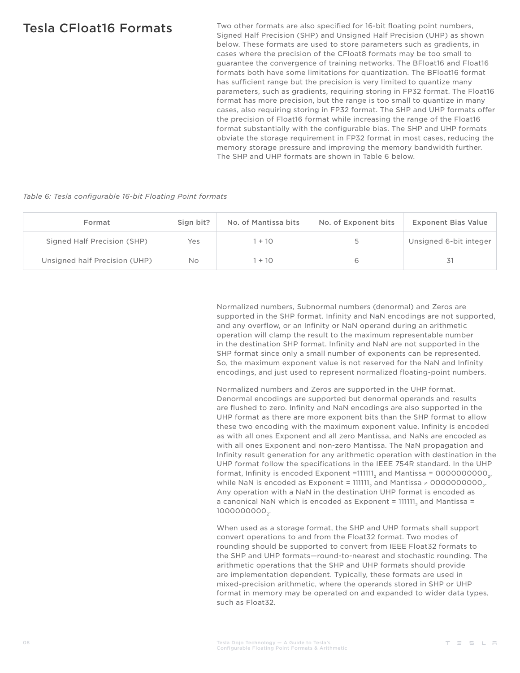Tesla CFloat16 Formats Two other formats are also specified for 16-bit floating point numbers, Signed Half Precision (SHP) and Unsigned Half Precision (UHP) as shown below. These formats are used to store parameters such as gradients, in cases where the precision of the CFloat8 formats may be too small to guarantee the convergence of training networks. The BFloat16 and Float16 formats both have some limitations for quantization. The BFloat16 format has sufficient range but the precision is very limited to quantize many parameters, such as gradients, requiring storing in FP32 format. The Float16 format has more precision, but the range is too small to quantize in many cases, also requiring storing in FP32 format. The SHP and UHP formats offer the precision of Float16 format while increasing the range of the Float16 format substantially with the configurable bias. The SHP and UHP formats obviate the storage requirement in FP32 format in most cases, reducing the memory storage pressure and improving the memory bandwidth further. The SHP and UHP formats are shown in Table 6 below.

*Table 6: Tesla configurable 16-bit Floating Point formats*

| Format                        | Sign bit? | No. of Mantissa bits | No. of Exponent bits | <b>Exponent Bias Value</b> |
|-------------------------------|-----------|----------------------|----------------------|----------------------------|
| Signed Half Precision (SHP)   | Yes       | $+10$                |                      | Unsigned 6-bit integer     |
| Unsigned half Precision (UHP) | No        | $+10$                |                      |                            |

Normalized numbers, Subnormal numbers (denormal) and Zeros are supported in the SHP format. Infinity and NaN encodings are not supported, and any overflow, or an Infinity or NaN operand during an arithmetic operation will clamp the result to the maximum representable number in the destination SHP format. Infinity and NaN are not supported in the SHP format since only a small number of exponents can be represented. So, the maximum exponent value is not reserved for the NaN and Infinity encodings, and just used to represent normalized floating-point numbers.

Normalized numbers and Zeros are supported in the UHP format. Denormal encodings are supported but denormal operands and results are flushed to zero. Infinity and NaN encodings are also supported in the UHP format as there are more exponent bits than the SHP format to allow these two encoding with the maximum exponent value. Infinity is encoded as with all ones Exponent and all zero Mantissa, and NaNs are encoded as with all ones Exponent and non-zero Mantissa. The NaN propagation and Infinity result generation for any arithmetic operation with destination in the UHP format follow the specifications in the IEEE 754R standard. In the UHP format, Infinity is encoded Exponent =111111<sub>2</sub> and Mantissa =  $0000000000$ <sub>2</sub>, while NaN is encoded as Exponent = 111111, and Mantissa ≠ 00000000000,. Any operation with a NaN in the destination UHP format is encoded as a canonical NaN which is encoded as Exponent =  $111111<sub>a</sub>$  and Mantissa = 100000000.

When used as a storage format, the SHP and UHP formats shall support convert operations to and from the Float32 format. Two modes of rounding should be supported to convert from IEEE Float32 formats to the SHP and UHP formats—round-to-nearest and stochastic rounding. The arithmetic operations that the SHP and UHP formats should provide are implementation dependent. Typically, these formats are used in mixed-precision arithmetic, where the operands stored in SHP or UHP format in memory may be operated on and expanded to wider data types, such as Float32.